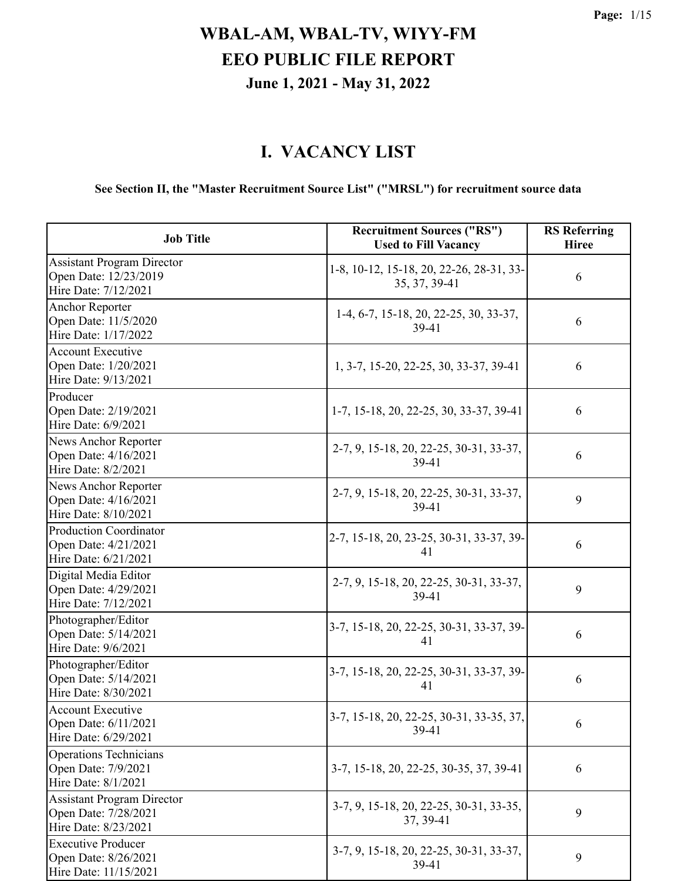### **I. VACANCY LIST**

### **See Section II, the "Master Recruitment Source List" ("MRSL") for recruitment source data**

| <b>Job Title</b>                                                                   | <b>Recruitment Sources ("RS")</b><br><b>Used to Fill Vacancy</b> | <b>RS Referring</b><br><b>Hiree</b> |
|------------------------------------------------------------------------------------|------------------------------------------------------------------|-------------------------------------|
| <b>Assistant Program Director</b><br>Open Date: 12/23/2019<br>Hire Date: 7/12/2021 | 1-8, 10-12, 15-18, 20, 22-26, 28-31, 33-<br>35, 37, 39-41        | 6                                   |
| <b>Anchor Reporter</b><br>Open Date: 11/5/2020<br>Hire Date: 1/17/2022             | 1-4, 6-7, 15-18, 20, 22-25, 30, 33-37,<br>39-41                  | 6                                   |
| <b>Account Executive</b><br>Open Date: 1/20/2021<br>Hire Date: 9/13/2021           | 1, 3-7, 15-20, 22-25, 30, 33-37, 39-41                           | 6                                   |
| Producer<br>Open Date: 2/19/2021<br>Hire Date: 6/9/2021                            | 1-7, 15-18, 20, 22-25, 30, 33-37, 39-41                          | 6                                   |
| News Anchor Reporter<br>Open Date: 4/16/2021<br>Hire Date: 8/2/2021                | 2-7, 9, 15-18, 20, 22-25, 30-31, 33-37,<br>39-41                 | 6                                   |
| News Anchor Reporter<br>Open Date: 4/16/2021<br>Hire Date: 8/10/2021               | 2-7, 9, 15-18, 20, 22-25, 30-31, 33-37,<br>39-41                 | 9                                   |
| <b>Production Coordinator</b><br>Open Date: 4/21/2021<br>Hire Date: 6/21/2021      | 2-7, 15-18, 20, 23-25, 30-31, 33-37, 39-<br>41                   | 6                                   |
| Digital Media Editor<br>Open Date: 4/29/2021<br>Hire Date: 7/12/2021               | 2-7, 9, 15-18, 20, 22-25, 30-31, 33-37,<br>39-41                 | 9                                   |
| Photographer/Editor<br>Open Date: 5/14/2021<br>Hire Date: 9/6/2021                 | 3-7, 15-18, 20, 22-25, 30-31, 33-37, 39-<br>41                   | 6                                   |
| Photographer/Editor<br>Open Date: 5/14/2021<br>Hire Date: 8/30/2021                | 3-7, 15-18, 20, 22-25, 30-31, 33-37, 39-<br>41                   | 6                                   |
| Account Executive<br>Open Date: 6/11/2021<br>Hire Date: 6/29/2021                  | 3-7, 15-18, 20, 22-25, 30-31, 33-35, 37,<br>39-41                | 6                                   |
| <b>Operations Technicians</b><br>Open Date: 7/9/2021<br>Hire Date: 8/1/2021        | 3-7, 15-18, 20, 22-25, 30-35, 37, 39-41                          | 6                                   |
| <b>Assistant Program Director</b><br>Open Date: 7/28/2021<br>Hire Date: 8/23/2021  | 3-7, 9, 15-18, 20, 22-25, 30-31, 33-35,<br>37, 39-41             | 9                                   |
| <b>Executive Producer</b><br>Open Date: 8/26/2021<br>Hire Date: 11/15/2021         | 3-7, 9, 15-18, 20, 22-25, 30-31, 33-37,<br>39-41                 | 9                                   |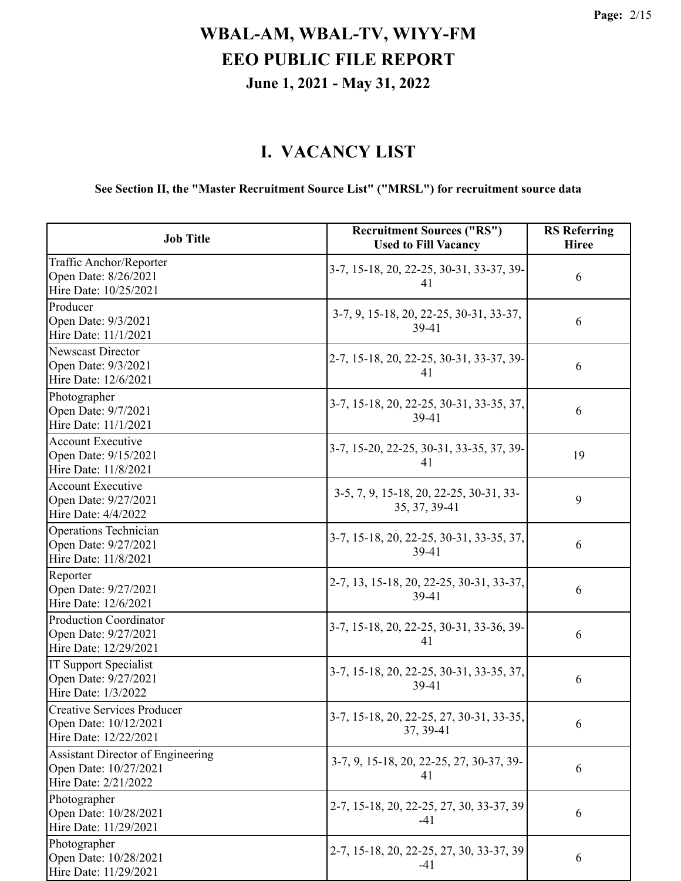### **I. VACANCY LIST**

### **See Section II, the "Master Recruitment Source List" ("MRSL") for recruitment source data**

| <b>Job Title</b>                                                                          | <b>Recruitment Sources ("RS")</b><br><b>Used to Fill Vacancy</b> | <b>RS</b> Referring<br><b>Hiree</b> |
|-------------------------------------------------------------------------------------------|------------------------------------------------------------------|-------------------------------------|
| Traffic Anchor/Reporter<br>Open Date: 8/26/2021<br>Hire Date: 10/25/2021                  | 3-7, 15-18, 20, 22-25, 30-31, 33-37, 39-<br>41                   | 6                                   |
| Producer<br>Open Date: 9/3/2021<br>Hire Date: 11/1/2021                                   | 3-7, 9, 15-18, 20, 22-25, 30-31, 33-37,<br>39-41                 | 6                                   |
| Newscast Director<br>Open Date: 9/3/2021<br>Hire Date: 12/6/2021                          | 2-7, 15-18, 20, 22-25, 30-31, 33-37, 39-<br>41                   | 6                                   |
| Photographer<br>Open Date: 9/7/2021<br>Hire Date: 11/1/2021                               | 3-7, 15-18, 20, 22-25, 30-31, 33-35, 37,<br>39-41                | 6                                   |
| <b>Account Executive</b><br>Open Date: 9/15/2021<br>Hire Date: 11/8/2021                  | 3-7, 15-20, 22-25, 30-31, 33-35, 37, 39-<br>41                   | 19                                  |
| <b>Account Executive</b><br>Open Date: 9/27/2021<br>Hire Date: 4/4/2022                   | 3-5, 7, 9, 15-18, 20, 22-25, 30-31, 33-<br>35, 37, 39-41         | 9                                   |
| Operations Technician<br>Open Date: 9/27/2021<br>Hire Date: 11/8/2021                     | 3-7, 15-18, 20, 22-25, 30-31, 33-35, 37,<br>39-41                | 6                                   |
| Reporter<br>Open Date: 9/27/2021<br>Hire Date: 12/6/2021                                  | 2-7, 13, 15-18, 20, 22-25, 30-31, 33-37,<br>39-41                | 6                                   |
| <b>Production Coordinator</b><br>Open Date: 9/27/2021<br>Hire Date: 12/29/2021            | 3-7, 15-18, 20, 22-25, 30-31, 33-36, 39-<br>41                   | 6                                   |
| IT Support Specialist<br>Open Date: 9/27/2021<br>Hire Date: 1/3/2022                      | 3-7, 15-18, 20, 22-25, 30-31, 33-35, 37,<br>39-41                | 6                                   |
| <b>Creative Services Producer</b><br>Open Date: 10/12/2021<br>Hire Date: 12/22/2021       | 3-7, 15-18, 20, 22-25, 27, 30-31, 33-35,<br>37, 39-41            | 6                                   |
| <b>Assistant Director of Engineering</b><br>Open Date: 10/27/2021<br>Hire Date: 2/21/2022 | 3-7, 9, 15-18, 20, 22-25, 27, 30-37, 39-<br>41                   | 6                                   |
| Photographer<br>Open Date: 10/28/2021<br>Hire Date: 11/29/2021                            | 2-7, 15-18, 20, 22-25, 27, 30, 33-37, 39<br>$-41$                | 6                                   |
| Photographer<br>Open Date: 10/28/2021<br>Hire Date: 11/29/2021                            | 2-7, 15-18, 20, 22-25, 27, 30, 33-37, 39<br>-41                  | 6                                   |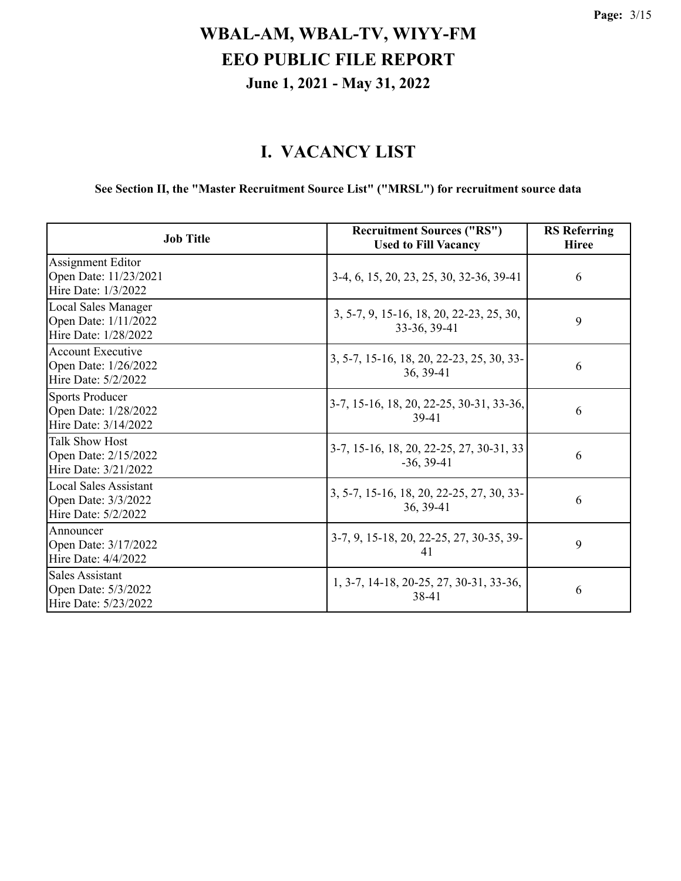### **I. VACANCY LIST**

### **See Section II, the "Master Recruitment Source List" ("MRSL") for recruitment source data**

| <b>Job Title</b>                                                           | <b>Recruitment Sources ("RS")</b><br><b>Used to Fill Vacancy</b> | <b>RS</b> Referring<br><b>Hiree</b> |
|----------------------------------------------------------------------------|------------------------------------------------------------------|-------------------------------------|
| Assignment Editor<br>Open Date: 11/23/2021<br>Hire Date: 1/3/2022          | 3-4, 6, 15, 20, 23, 25, 30, 32-36, 39-41                         | 6                                   |
| <b>Local Sales Manager</b><br>Open Date: 1/11/2022<br>Hire Date: 1/28/2022 | 3, 5-7, 9, 15-16, 18, 20, 22-23, 25, 30,<br>33-36, 39-41         | 9                                   |
| <b>Account Executive</b><br>Open Date: 1/26/2022<br>Hire Date: 5/2/2022    | 3, 5-7, 15-16, 18, 20, 22-23, 25, 30, 33-<br>36, 39-41           | 6                                   |
| <b>Sports Producer</b><br>Open Date: 1/28/2022<br>Hire Date: 3/14/2022     | 3-7, 15-16, 18, 20, 22-25, 30-31, 33-36,<br>39-41                | 6                                   |
| <b>Talk Show Host</b><br>Open Date: 2/15/2022<br>Hire Date: 3/21/2022      | 3-7, 15-16, 18, 20, 22-25, 27, 30-31, 33<br>$-36, 39-41$         | 6                                   |
| <b>Local Sales Assistant</b><br>Open Date: 3/3/2022<br>Hire Date: 5/2/2022 | 3, 5-7, 15-16, 18, 20, 22-25, 27, 30, 33-<br>36, 39-41           | 6                                   |
| Announcer<br>Open Date: 3/17/2022<br>Hire Date: 4/4/2022                   | 3-7, 9, 15-18, 20, 22-25, 27, 30-35, 39-<br>41                   | 9                                   |
| <b>Sales Assistant</b><br>Open Date: 5/3/2022<br>Hire Date: 5/23/2022      | 1, 3-7, 14-18, 20-25, 27, 30-31, 33-36,<br>38-41                 | 6                                   |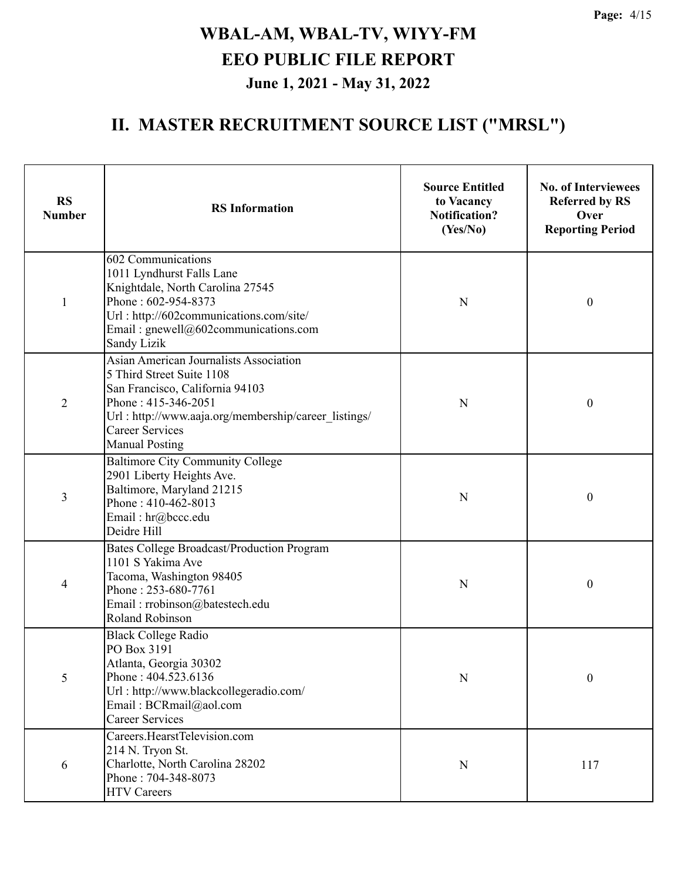| <b>RS</b><br><b>Number</b> | <b>RS</b> Information                                                                                                                                                                                                                    | <b>Source Entitled</b><br>to Vacancy<br><b>Notification?</b><br>(Yes/No) | <b>No. of Interviewees</b><br><b>Referred by RS</b><br>Over<br><b>Reporting Period</b> |
|----------------------------|------------------------------------------------------------------------------------------------------------------------------------------------------------------------------------------------------------------------------------------|--------------------------------------------------------------------------|----------------------------------------------------------------------------------------|
| 1                          | 602 Communications<br>1011 Lyndhurst Falls Lane<br>Knightdale, North Carolina 27545<br>Phone: 602-954-8373<br>Url: http://602communications.com/site/<br>Email: $gnewell@602$ communications.com<br>Sandy Lizik                          | N                                                                        | $\boldsymbol{0}$                                                                       |
| $\overline{2}$             | Asian American Journalists Association<br>5 Third Street Suite 1108<br>San Francisco, California 94103<br>Phone: 415-346-2051<br>Url: http://www.aaja.org/membership/career listings/<br><b>Career Services</b><br><b>Manual Posting</b> | N                                                                        | $\boldsymbol{0}$                                                                       |
| 3                          | <b>Baltimore City Community College</b><br>2901 Liberty Heights Ave.<br>Baltimore, Maryland 21215<br>Phone: 410-462-8013<br>Email: hr@bccc.edu<br>Deidre Hill                                                                            | N                                                                        | $\boldsymbol{0}$                                                                       |
| 4                          | Bates College Broadcast/Production Program<br>1101 S Yakima Ave<br>Tacoma, Washington 98405<br>Phone: 253-680-7761<br>Email: rrobinson@batestech.edu<br>Roland Robinson                                                                  | N                                                                        | $\boldsymbol{0}$                                                                       |
| 5                          | <b>Black College Radio</b><br>PO Box 3191<br>Atlanta, Georgia 30302<br>Phone: 404.523.6136<br>Url: http://www.blackcollegeradio.com/<br>Email: BCRmail@aol.com<br><b>Career Services</b>                                                 | N                                                                        | $\boldsymbol{0}$                                                                       |
| 6                          | Careers.HearstTelevision.com<br>214 N. Tryon St.<br>Charlotte, North Carolina 28202<br>Phone: 704-348-8073<br><b>HTV Careers</b>                                                                                                         | N                                                                        | 117                                                                                    |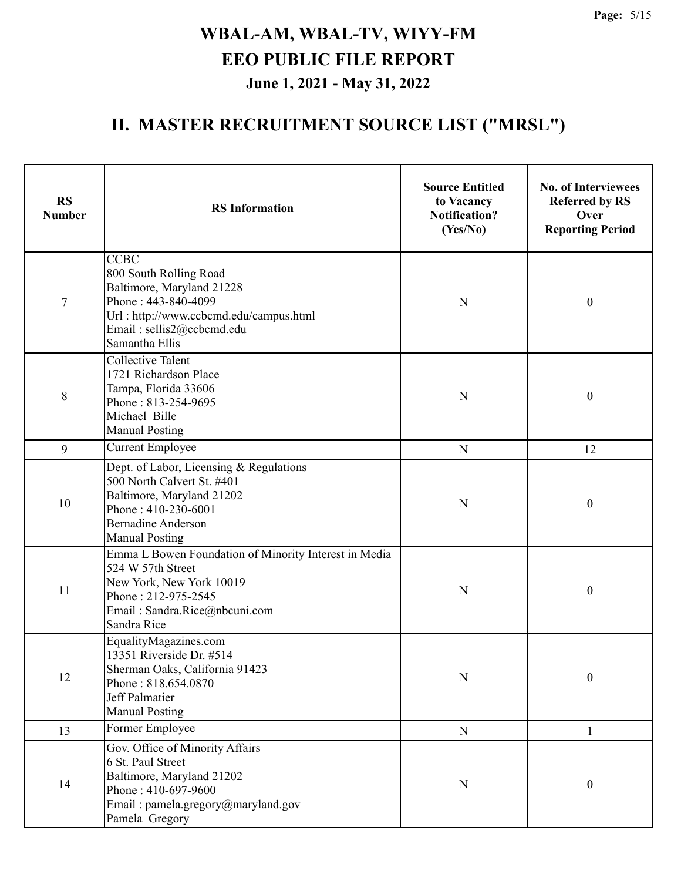| <b>RS</b><br><b>Number</b> | <b>RS</b> Information                                                                                                                                                              | <b>Source Entitled</b><br>to Vacancy<br>Notification?<br>(Yes/No) | <b>No. of Interviewees</b><br><b>Referred by RS</b><br>Over<br><b>Reporting Period</b> |
|----------------------------|------------------------------------------------------------------------------------------------------------------------------------------------------------------------------------|-------------------------------------------------------------------|----------------------------------------------------------------------------------------|
| $\sqrt{ }$                 | <b>CCBC</b><br>800 South Rolling Road<br>Baltimore, Maryland 21228<br>Phone: 443-840-4099<br>Url: http://www.ccbcmd.edu/campus.html<br>Email: sellis2@ccbcmd.edu<br>Samantha Ellis | N                                                                 | $\boldsymbol{0}$                                                                       |
| 8                          | <b>Collective Talent</b><br>1721 Richardson Place<br>Tampa, Florida 33606<br>Phone: 813-254-9695<br>Michael Bille<br><b>Manual Posting</b>                                         | N                                                                 | $\boldsymbol{0}$                                                                       |
| 9                          | <b>Current Employee</b>                                                                                                                                                            | N                                                                 | 12                                                                                     |
| 10                         | Dept. of Labor, Licensing & Regulations<br>500 North Calvert St. #401<br>Baltimore, Maryland 21202<br>Phone: 410-230-6001<br><b>Bernadine Anderson</b><br><b>Manual Posting</b>    | N                                                                 | $\boldsymbol{0}$                                                                       |
| 11                         | Emma L Bowen Foundation of Minority Interest in Media<br>524 W 57th Street<br>New York, New York 10019<br>Phone: 212-975-2545<br>Email: Sandra.Rice@nbcuni.com<br>Sandra Rice      | N                                                                 | $\boldsymbol{0}$                                                                       |
| 12                         | EqualityMagazines.com<br>13351 Riverside Dr. #514<br>Sherman Oaks, California 91423<br>Phone: 818.654.0870<br>Jeff Palmatier<br><b>Manual Posting</b>                              | N                                                                 | $\boldsymbol{0}$                                                                       |
| 13                         | Former Employee                                                                                                                                                                    | $\mathbf N$                                                       | $\mathbf{1}$                                                                           |
| 14                         | Gov. Office of Minority Affairs<br>6 St. Paul Street<br>Baltimore, Maryland 21202<br>Phone: 410-697-9600<br>Email: pamela.gregory@maryland.gov<br>Pamela Gregory                   | N                                                                 | $\boldsymbol{0}$                                                                       |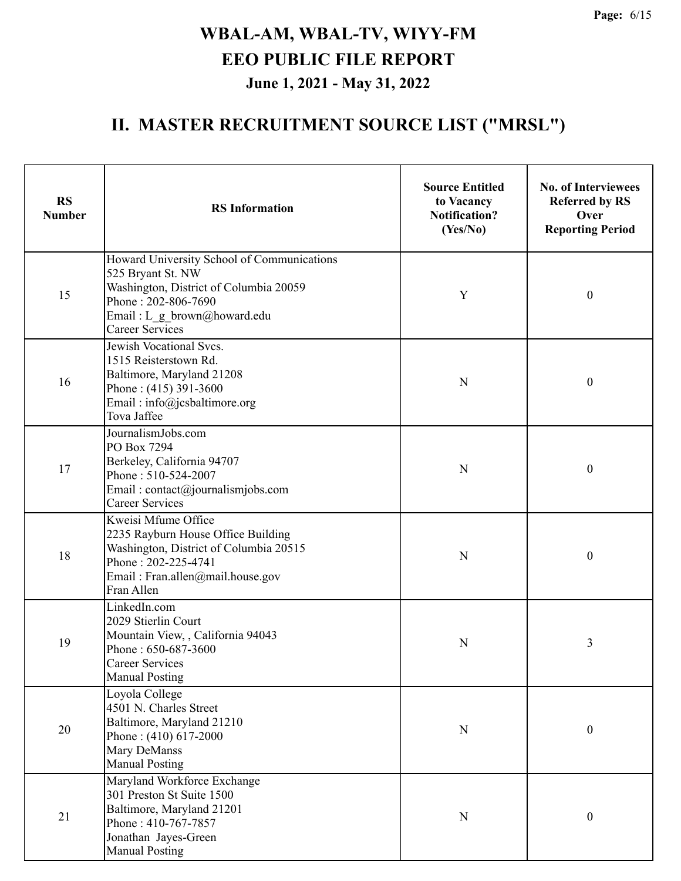| <b>RS</b><br><b>Number</b> | <b>RS</b> Information                                                                                                                                                                     | <b>Source Entitled</b><br>to Vacancy<br><b>Notification?</b><br>(Yes/No) | <b>No. of Interviewees</b><br><b>Referred by RS</b><br>Over<br><b>Reporting Period</b> |  |
|----------------------------|-------------------------------------------------------------------------------------------------------------------------------------------------------------------------------------------|--------------------------------------------------------------------------|----------------------------------------------------------------------------------------|--|
| 15                         | Howard University School of Communications<br>525 Bryant St. NW<br>Washington, District of Columbia 20059<br>Phone: 202-806-7690<br>Email: L g brown@howard.edu<br><b>Career Services</b> | Y                                                                        | $\boldsymbol{0}$                                                                       |  |
| 16                         | Jewish Vocational Svcs.<br>1515 Reisterstown Rd.<br>Baltimore, Maryland 21208<br>Phone: (415) 391-3600<br>Email: info@jcsbaltimore.org<br>Tova Jaffee                                     | N                                                                        | $\boldsymbol{0}$                                                                       |  |
| 17                         | JournalismJobs.com<br>PO Box 7294<br>Berkeley, California 94707<br>Phone: 510-524-2007<br>Email: contact@journalismjobs.com<br><b>Career Services</b>                                     | N                                                                        | $\boldsymbol{0}$                                                                       |  |
| 18                         | Kweisi Mfume Office<br>2235 Rayburn House Office Building<br>Washington, District of Columbia 20515<br>Phone: 202-225-4741<br>Email: Fran.allen@mail.house.gov<br>Fran Allen              | N                                                                        | $\boldsymbol{0}$                                                                       |  |
| 19                         | LinkedIn.com<br>2029 Stierlin Court<br>Mountain View, , California 94043<br>Phone: 650-687-3600<br>Career Services<br><b>Manual Posting</b>                                               | N                                                                        | 3                                                                                      |  |
| 20                         | Loyola College<br>4501 N. Charles Street<br>Baltimore, Maryland 21210<br>Phone: (410) 617-2000<br>Mary DeManss<br><b>Manual Posting</b>                                                   | N                                                                        | $\boldsymbol{0}$                                                                       |  |
| 21                         | Maryland Workforce Exchange<br>301 Preston St Suite 1500<br>Baltimore, Maryland 21201<br>Phone: 410-767-7857<br>Jonathan Jayes-Green<br><b>Manual Posting</b>                             | N                                                                        | $\boldsymbol{0}$                                                                       |  |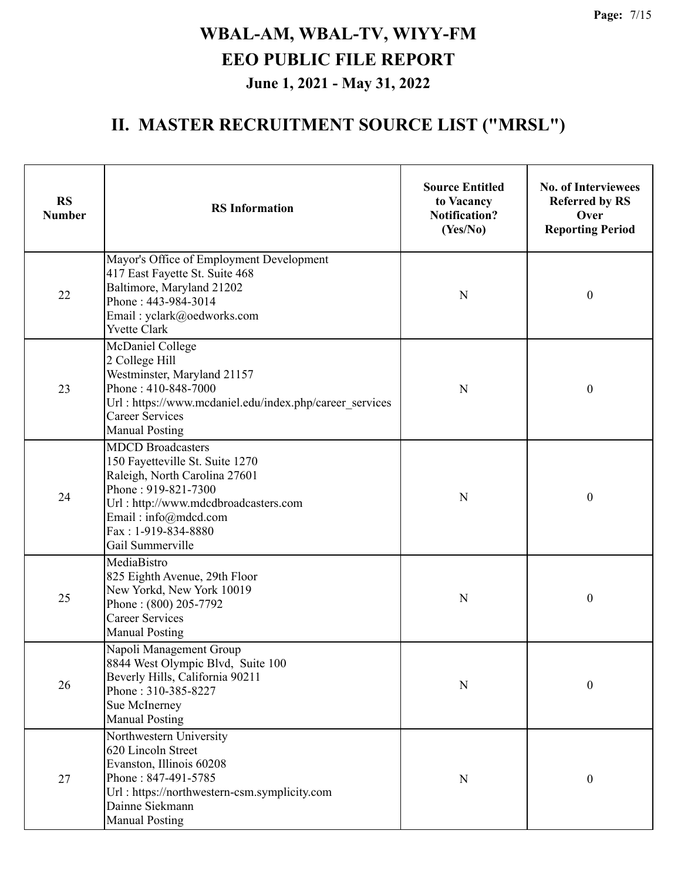| <b>RS</b><br><b>Number</b> | <b>RS</b> Information                                                                                                                                                                                                          | <b>Source Entitled</b><br>to Vacancy<br><b>Notification?</b><br>(Yes/No) | <b>No. of Interviewees</b><br><b>Referred by RS</b><br>Over<br><b>Reporting Period</b> |  |
|----------------------------|--------------------------------------------------------------------------------------------------------------------------------------------------------------------------------------------------------------------------------|--------------------------------------------------------------------------|----------------------------------------------------------------------------------------|--|
| 22                         | Mayor's Office of Employment Development<br>417 East Fayette St. Suite 468<br>Baltimore, Maryland 21202<br>Phone: 443-984-3014<br>Email: yclark@oedworks.com<br><b>Yvette Clark</b>                                            | N                                                                        | $\boldsymbol{0}$                                                                       |  |
| 23                         | McDaniel College<br>2 College Hill<br>Westminster, Maryland 21157<br>Phone: 410-848-7000<br>Url : https://www.mcdaniel.edu/index.php/career services<br><b>Career Services</b><br><b>Manual Posting</b>                        | N                                                                        | $\boldsymbol{0}$                                                                       |  |
| 24                         | <b>MDCD</b> Broadcasters<br>150 Fayetteville St. Suite 1270<br>Raleigh, North Carolina 27601<br>Phone: 919-821-7300<br>Url: http://www.mdcdbroadcasters.com<br>Email: info@mdcd.com<br>Fax: 1-919-834-8880<br>Gail Summerville | N                                                                        | $\boldsymbol{0}$                                                                       |  |
| 25                         | MediaBistro<br>825 Eighth Avenue, 29th Floor<br>New Yorkd, New York 10019<br>Phone: (800) 205-7792<br><b>Career Services</b><br><b>Manual Posting</b>                                                                          | N                                                                        | $\boldsymbol{0}$                                                                       |  |
| 26                         | Napoli Management Group<br>8844 West Olympic Blvd, Suite 100<br>Beverly Hills, California 90211<br>Phone: 310-385-8227<br>Sue McInerney<br><b>Manual Posting</b>                                                               | N                                                                        | $\boldsymbol{0}$                                                                       |  |
| $27\,$                     | Northwestern University<br>620 Lincoln Street<br>Evanston, Illinois 60208<br>Phone: 847-491-5785<br>Url: https://northwestern-csm.symplicity.com<br>Dainne Siekmann<br><b>Manual Posting</b>                                   | N                                                                        | $\boldsymbol{0}$                                                                       |  |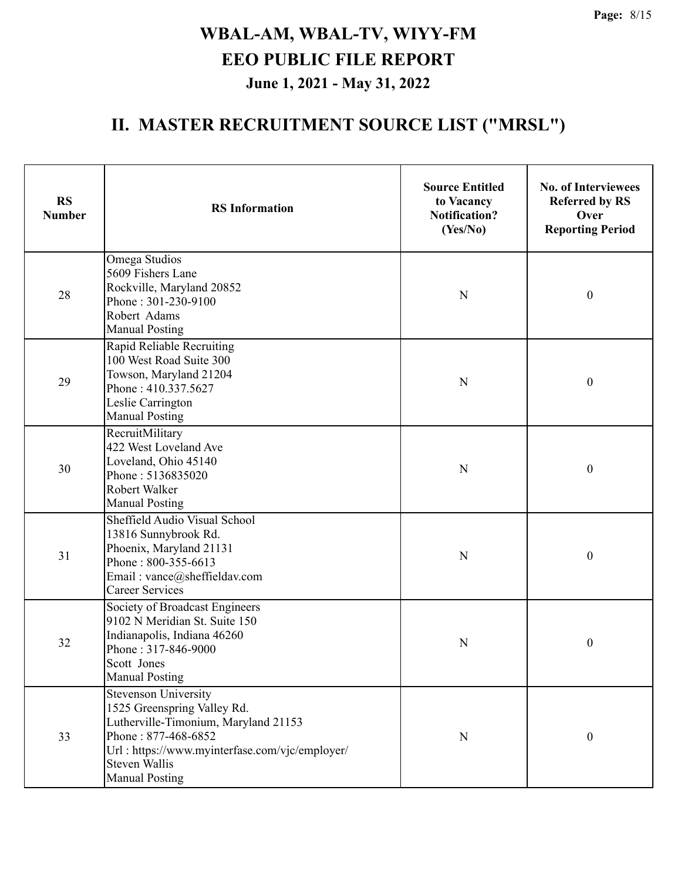| <b>RS</b><br><b>Number</b> | <b>RS</b> Information                                                                                                                                                                                                        | <b>Source Entitled</b><br>to Vacancy<br><b>Notification?</b><br>(Yes/No) | <b>No. of Interviewees</b><br><b>Referred by RS</b><br>Over<br><b>Reporting Period</b> |
|----------------------------|------------------------------------------------------------------------------------------------------------------------------------------------------------------------------------------------------------------------------|--------------------------------------------------------------------------|----------------------------------------------------------------------------------------|
| 28                         | Omega Studios<br>5609 Fishers Lane<br>Rockville, Maryland 20852<br>Phone: 301-230-9100<br>Robert Adams<br><b>Manual Posting</b>                                                                                              | N                                                                        | $\boldsymbol{0}$                                                                       |
| 29                         | Rapid Reliable Recruiting<br>100 West Road Suite 300<br>Towson, Maryland 21204<br>Phone: 410.337.5627<br>Leslie Carrington<br><b>Manual Posting</b>                                                                          | N                                                                        | $\boldsymbol{0}$                                                                       |
| 30                         | RecruitMilitary<br>422 West Loveland Ave<br>Loveland, Ohio 45140<br>Phone: 5136835020<br>Robert Walker<br><b>Manual Posting</b>                                                                                              | N                                                                        | $\boldsymbol{0}$                                                                       |
| 31                         | Sheffield Audio Visual School<br>13816 Sunnybrook Rd.<br>Phoenix, Maryland 21131<br>Phone: 800-355-6613<br>Email: vance@sheffieldav.com<br><b>Career Services</b>                                                            | N                                                                        | $\boldsymbol{0}$                                                                       |
| 32                         | Society of Broadcast Engineers<br>9102 N Meridian St. Suite 150<br>Indianapolis, Indiana 46260<br>Phone: 317-846-9000<br>Scott Jones<br><b>Manual Posting</b>                                                                | N                                                                        | $\boldsymbol{0}$                                                                       |
| 33                         | <b>Stevenson University</b><br>1525 Greenspring Valley Rd.<br>Lutherville-Timonium, Maryland 21153<br>Phone: 877-468-6852<br>Url: https://www.myinterfase.com/vjc/employer/<br><b>Steven Wallis</b><br><b>Manual Posting</b> | $\mathbf N$                                                              | $\boldsymbol{0}$                                                                       |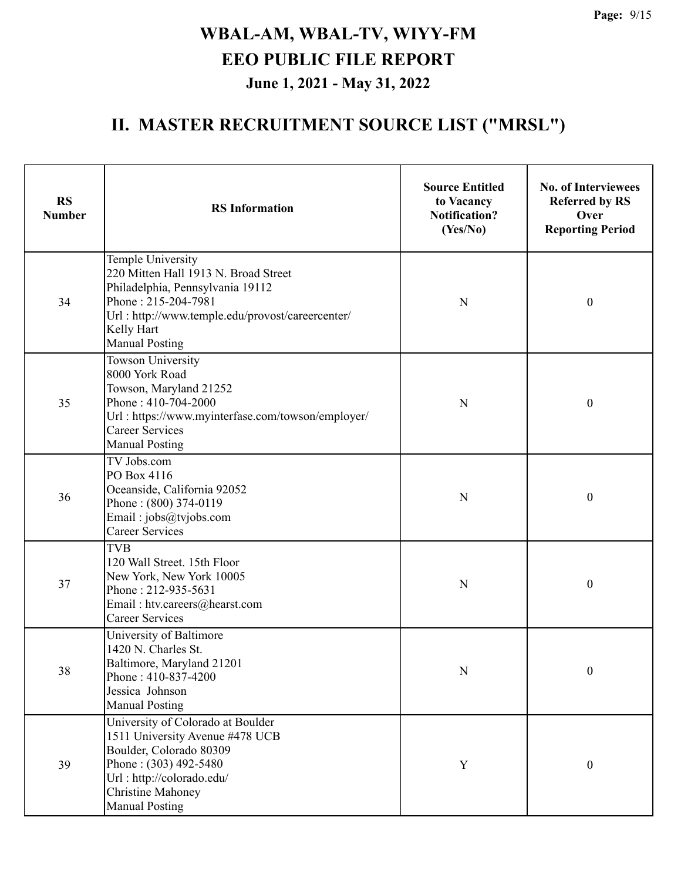| <b>RS</b><br><b>Number</b> | <b>RS</b> Information                                                                                                                                                                                           | <b>Source Entitled</b><br>to Vacancy<br><b>Notification?</b><br>(Yes/No) | <b>No. of Interviewees</b><br><b>Referred by RS</b><br>Over<br><b>Reporting Period</b> |
|----------------------------|-----------------------------------------------------------------------------------------------------------------------------------------------------------------------------------------------------------------|--------------------------------------------------------------------------|----------------------------------------------------------------------------------------|
| 34                         | Temple University<br>220 Mitten Hall 1913 N. Broad Street<br>Philadelphia, Pennsylvania 19112<br>Phone: 215-204-7981<br>Url: http://www.temple.edu/provost/careercenter/<br>Kelly Hart<br><b>Manual Posting</b> | N                                                                        | $\boldsymbol{0}$                                                                       |
| 35                         | <b>Towson University</b><br>8000 York Road<br>Towson, Maryland 21252<br>Phone: 410-704-2000<br>Url: https://www.myinterfase.com/towson/employer/<br><b>Career Services</b><br><b>Manual Posting</b>             | N                                                                        | $\boldsymbol{0}$                                                                       |
| 36                         | TV Jobs.com<br>PO Box 4116<br>Oceanside, California 92052<br>Phone: (800) 374-0119<br>Email: jobs@tvjobs.com<br><b>Career Services</b>                                                                          | N                                                                        | $\boldsymbol{0}$                                                                       |
| 37                         | <b>TVB</b><br>120 Wall Street. 15th Floor<br>New York, New York 10005<br>Phone: 212-935-5631<br>Email: htv.careers@hearst.com<br><b>Career Services</b>                                                         | N                                                                        | $\boldsymbol{0}$                                                                       |
| 38                         | University of Baltimore<br>1420 N. Charles St.<br>Baltimore, Maryland 21201<br>Phone: 410-837-4200<br>Jessica Johnson<br><b>Manual Posting</b>                                                                  | N                                                                        | $\boldsymbol{0}$                                                                       |
| 39                         | University of Colorado at Boulder<br>1511 University Avenue #478 UCB<br>Boulder, Colorado 80309<br>Phone: (303) 492-5480<br>Url: http://colorado.edu/<br><b>Christine Mahoney</b><br><b>Manual Posting</b>      | $\mathbf Y$                                                              | $\boldsymbol{0}$                                                                       |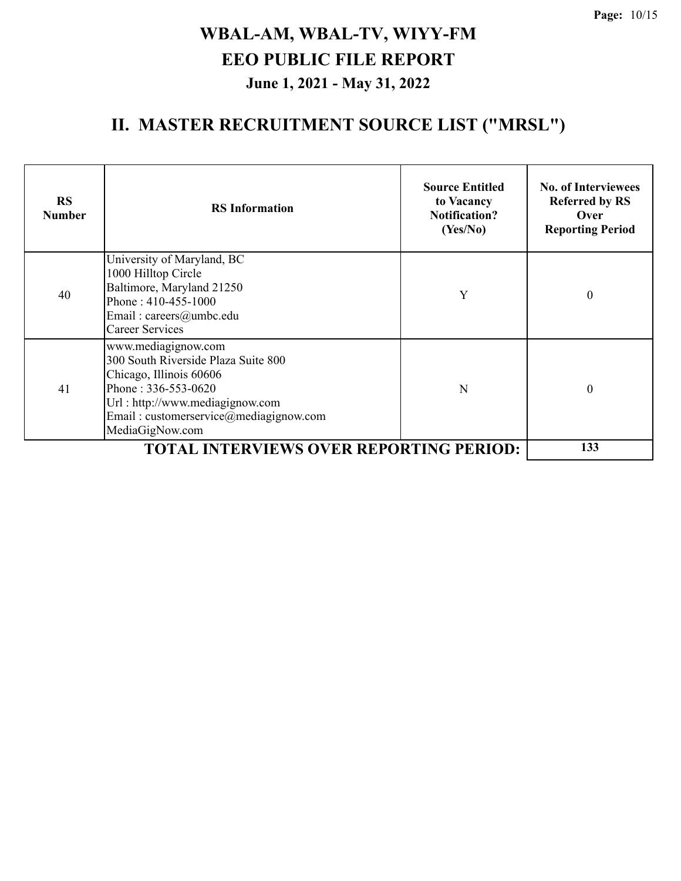| <b>RS</b><br><b>Number</b> | <b>RS</b> Information                                                                                                                                                                                         | <b>Source Entitled</b><br>to Vacancy<br><b>Notification?</b><br>(Yes/No) | <b>No. of Interviewees</b><br><b>Referred by RS</b><br>Over<br><b>Reporting Period</b> |
|----------------------------|---------------------------------------------------------------------------------------------------------------------------------------------------------------------------------------------------------------|--------------------------------------------------------------------------|----------------------------------------------------------------------------------------|
| 40                         | University of Maryland, BC<br>1000 Hilltop Circle<br>Baltimore, Maryland 21250<br>Phone: 410-455-1000<br>Email: careers@umbc.edu<br><b>Career Services</b>                                                    | Y                                                                        | $\boldsymbol{0}$                                                                       |
| 41                         | www.mediagignow.com<br>300 South Riverside Plaza Suite 800<br>Chicago, Illinois 60606<br>Phone: 336-553-0620<br>Url : http://www.mediagignow.com<br>Email: customerservice@mediagignow.com<br>MediaGigNow.com | N                                                                        | $\theta$                                                                               |
|                            | <b>TOTAL INTERVIEWS OVER REPORTING PERIOD:</b>                                                                                                                                                                |                                                                          | 133                                                                                    |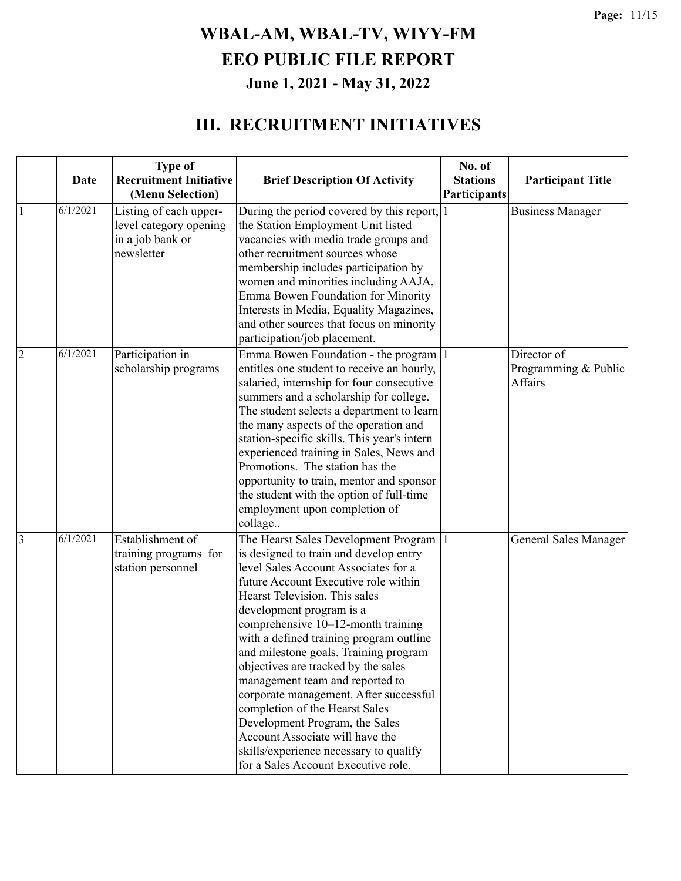|                | <b>Date</b> | <b>Type of</b><br><b>Recruitment Initiative</b><br>(Menu Selection)                | <b>Brief Description Of Activity</b>                                                                                                                                                                                                                                                                                                                                                                                                                                                                                                                                                                                                                              | No. of<br><b>Stations</b><br>Participants | <b>Participant Title</b>                       |
|----------------|-------------|------------------------------------------------------------------------------------|-------------------------------------------------------------------------------------------------------------------------------------------------------------------------------------------------------------------------------------------------------------------------------------------------------------------------------------------------------------------------------------------------------------------------------------------------------------------------------------------------------------------------------------------------------------------------------------------------------------------------------------------------------------------|-------------------------------------------|------------------------------------------------|
|                | 6/1/2021    | Listing of each upper-<br>level category opening<br>in a job bank or<br>newsletter | During the period covered by this report, 1<br>the Station Employment Unit listed<br>vacancies with media trade groups and<br>other recruitment sources whose<br>membership includes participation by<br>women and minorities including AAJA,<br>Emma Bowen Foundation for Minority<br>Interests in Media, Equality Magazines,<br>and other sources that focus on minority<br>participation/job placement.                                                                                                                                                                                                                                                        |                                           | <b>Business Manager</b>                        |
| $\overline{2}$ | 6/1/2021    | Participation in<br>scholarship programs                                           | Emma Bowen Foundation - the program 1<br>entitles one student to receive an hourly,<br>salaried, internship for four consecutive<br>summers and a scholarship for college.<br>The student selects a department to learn<br>the many aspects of the operation and<br>station-specific skills. This year's intern<br>experienced training in Sales, News and<br>Promotions. The station has the<br>opportunity to train, mentor and sponsor<br>the student with the option of full-time<br>employment upon completion of<br>collage                                                                                                                                 |                                           | Director of<br>Programming & Public<br>Affairs |
| $\overline{3}$ | 6/1/2021    | Establishment of<br>training programs for<br>station personnel                     | The Hearst Sales Development Program<br>is designed to train and develop entry<br>level Sales Account Associates for a<br>future Account Executive role within<br>Hearst Television. This sales<br>development program is a<br>comprehensive 10-12-month training<br>with a defined training program outline<br>and milestone goals. Training program<br>objectives are tracked by the sales<br>management team and reported to<br>corporate management. After successful<br>completion of the Hearst Sales<br>Development Program, the Sales<br>Account Associate will have the<br>skills/experience necessary to qualify<br>for a Sales Account Executive role. |                                           | General Sales Manager                          |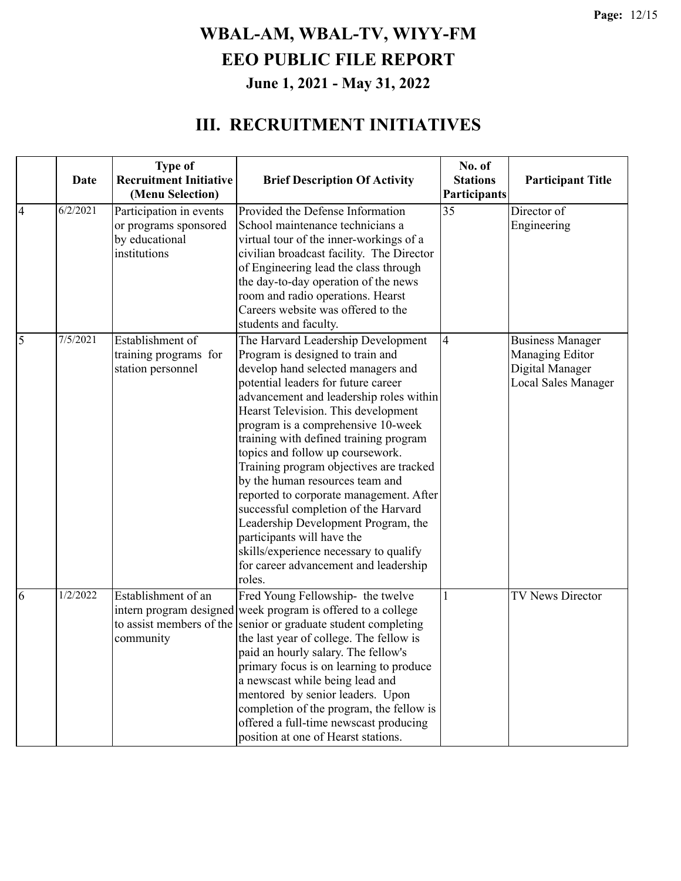|                | Date     | <b>Type of</b><br><b>Recruitment Initiative</b><br>(Menu Selection)                | <b>Brief Description Of Activity</b>                                                                                                                                                                                                                                                                                                                                                                                                                                                                                                                                                                                                                                                         | No. of<br><b>Stations</b><br><b>Participants</b> | <b>Participant Title</b>                                                             |
|----------------|----------|------------------------------------------------------------------------------------|----------------------------------------------------------------------------------------------------------------------------------------------------------------------------------------------------------------------------------------------------------------------------------------------------------------------------------------------------------------------------------------------------------------------------------------------------------------------------------------------------------------------------------------------------------------------------------------------------------------------------------------------------------------------------------------------|--------------------------------------------------|--------------------------------------------------------------------------------------|
| $\overline{4}$ | 6/2/2021 | Participation in events<br>or programs sponsored<br>by educational<br>institutions | Provided the Defense Information<br>School maintenance technicians a<br>virtual tour of the inner-workings of a<br>civilian broadcast facility. The Director<br>of Engineering lead the class through<br>the day-to-day operation of the news<br>room and radio operations. Hearst<br>Careers website was offered to the<br>students and faculty.                                                                                                                                                                                                                                                                                                                                            | 35                                               | Director of<br>Engineering                                                           |
| 5              | 7/5/2021 | Establishment of<br>training programs for<br>station personnel                     | The Harvard Leadership Development<br>Program is designed to train and<br>develop hand selected managers and<br>potential leaders for future career<br>advancement and leadership roles within<br>Hearst Television. This development<br>program is a comprehensive 10-week<br>training with defined training program<br>topics and follow up coursework.<br>Training program objectives are tracked<br>by the human resources team and<br>reported to corporate management. After<br>successful completion of the Harvard<br>Leadership Development Program, the<br>participants will have the<br>skills/experience necessary to qualify<br>for career advancement and leadership<br>roles. | 4                                                | <b>Business Manager</b><br>Managing Editor<br>Digital Manager<br>Local Sales Manager |
| 6              | 1/2/2022 | Establishment of an<br>community                                                   | Fred Young Fellowship- the twelve<br>intern program designed week program is offered to a college<br>to assist members of the senior or graduate student completing<br>the last year of college. The fellow is<br>paid an hourly salary. The fellow's<br>primary focus is on learning to produce<br>a newscast while being lead and<br>mentored by senior leaders. Upon<br>completion of the program, the fellow is<br>offered a full-time newscast producing<br>position at one of Hearst stations.                                                                                                                                                                                         | 1                                                | <b>TV News Director</b>                                                              |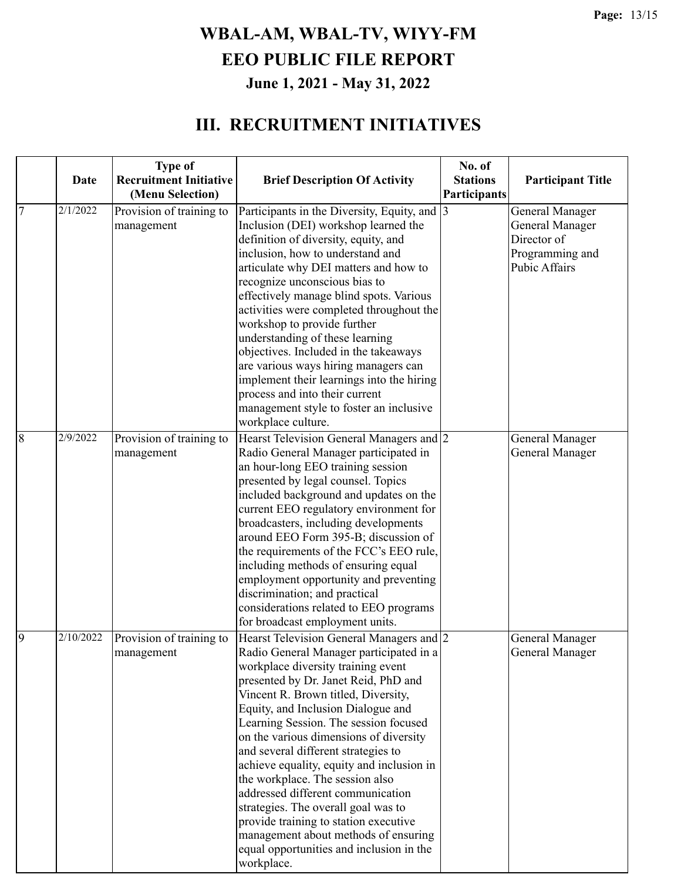|                | <b>Date</b> | <b>Type of</b><br><b>Recruitment Initiative</b> | <b>Brief Description Of Activity</b>                                                                                                                                                                                                                                                                                                                                                                                                                                                                                                                                                                                                                                            | No. of<br><b>Stations</b> | <b>Participant Title</b>                                                                            |
|----------------|-------------|-------------------------------------------------|---------------------------------------------------------------------------------------------------------------------------------------------------------------------------------------------------------------------------------------------------------------------------------------------------------------------------------------------------------------------------------------------------------------------------------------------------------------------------------------------------------------------------------------------------------------------------------------------------------------------------------------------------------------------------------|---------------------------|-----------------------------------------------------------------------------------------------------|
|                |             | (Menu Selection)                                |                                                                                                                                                                                                                                                                                                                                                                                                                                                                                                                                                                                                                                                                                 | Participants              |                                                                                                     |
| $\overline{7}$ | 2/1/2022    | Provision of training to<br>management          | Participants in the Diversity, Equity, and  3<br>Inclusion (DEI) workshop learned the<br>definition of diversity, equity, and<br>inclusion, how to understand and<br>articulate why DEI matters and how to<br>recognize unconscious bias to<br>effectively manage blind spots. Various<br>activities were completed throughout the<br>workshop to provide further<br>understanding of these learning<br>objectives. Included in the takeaways<br>are various ways hiring managers can<br>implement their learnings into the hiring<br>process and into their current<br>management style to foster an inclusive<br>workplace culture.                                           |                           | General Manager<br><b>General Manager</b><br>Director of<br>Programming and<br><b>Pubic Affairs</b> |
| 8              | 2/9/2022    | Provision of training to<br>management          | Hearst Television General Managers and 2<br>Radio General Manager participated in<br>an hour-long EEO training session<br>presented by legal counsel. Topics<br>included background and updates on the<br>current EEO regulatory environment for<br>broadcasters, including developments<br>around EEO Form 395-B; discussion of<br>the requirements of the FCC's EEO rule,<br>including methods of ensuring equal<br>employment opportunity and preventing<br>discrimination; and practical<br>considerations related to EEO programs<br>for broadcast employment units.                                                                                                       |                           | <b>General Manager</b><br><b>General Manager</b>                                                    |
| 9              | 2/10/2022   | Provision of training to<br>management          | Hearst Television General Managers and 2<br>Radio General Manager participated in a<br>workplace diversity training event<br>presented by Dr. Janet Reid, PhD and<br>Vincent R. Brown titled, Diversity,<br>Equity, and Inclusion Dialogue and<br>Learning Session. The session focused<br>on the various dimensions of diversity<br>and several different strategies to<br>achieve equality, equity and inclusion in<br>the workplace. The session also<br>addressed different communication<br>strategies. The overall goal was to<br>provide training to station executive<br>management about methods of ensuring<br>equal opportunities and inclusion in the<br>workplace. |                           | General Manager<br>General Manager                                                                  |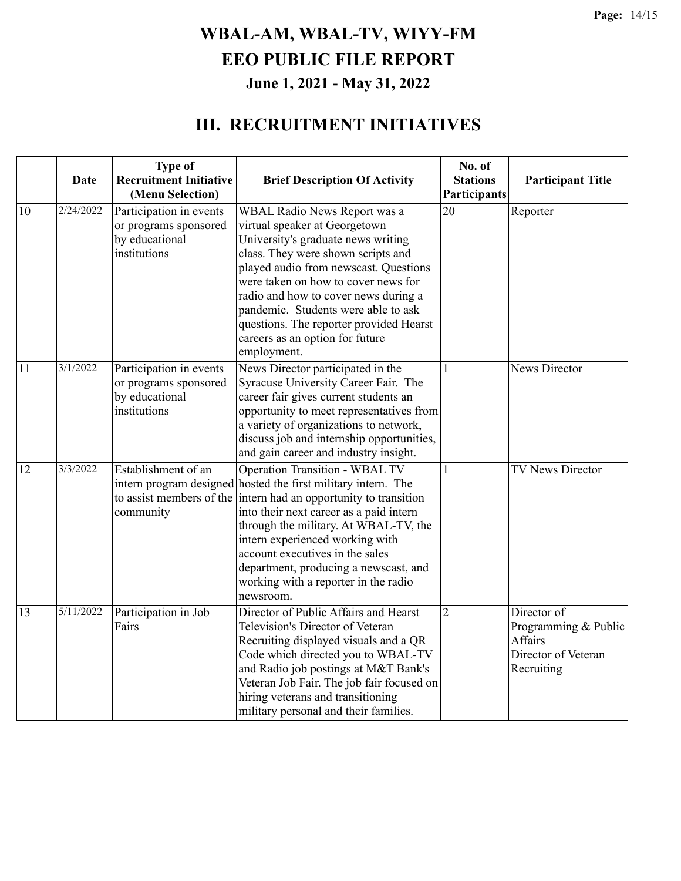|                 | <b>Date</b> | <b>Type of</b><br><b>Recruitment Initiative</b><br>(Menu Selection)                | <b>Brief Description Of Activity</b>                                                                                                                                                                                                                                                                                                                                                                                               | No. of<br><b>Stations</b><br>Participants | <b>Participant Title</b>                                                            |
|-----------------|-------------|------------------------------------------------------------------------------------|------------------------------------------------------------------------------------------------------------------------------------------------------------------------------------------------------------------------------------------------------------------------------------------------------------------------------------------------------------------------------------------------------------------------------------|-------------------------------------------|-------------------------------------------------------------------------------------|
| 10              | 2/24/2022   | Participation in events<br>or programs sponsored<br>by educational<br>institutions | WBAL Radio News Report was a<br>virtual speaker at Georgetown<br>University's graduate news writing<br>class. They were shown scripts and<br>played audio from newscast. Questions<br>were taken on how to cover news for<br>radio and how to cover news during a<br>pandemic. Students were able to ask<br>questions. The reporter provided Hearst<br>careers as an option for future<br>employment.                              | 20                                        | Reporter                                                                            |
| 11              | 3/1/2022    | Participation in events<br>or programs sponsored<br>by educational<br>institutions | News Director participated in the<br>Syracuse University Career Fair. The<br>career fair gives current students an<br>opportunity to meet representatives from<br>a variety of organizations to network,<br>discuss job and internship opportunities,<br>and gain career and industry insight.                                                                                                                                     | 1                                         | News Director                                                                       |
| $\overline{12}$ | 3/3/2022    | Establishment of an<br>community                                                   | <b>Operation Transition - WBAL TV</b><br>intern program designed hosted the first military intern. The<br>to assist members of the intern had an opportunity to transition<br>into their next career as a paid intern<br>through the military. At WBAL-TV, the<br>intern experienced working with<br>account executives in the sales<br>department, producing a newscast, and<br>working with a reporter in the radio<br>newsroom. | 1                                         | TV News Director                                                                    |
| 13              | 5/11/2022   | Participation in Job<br>Fairs                                                      | Director of Public Affairs and Hearst<br>Television's Director of Veteran<br>Recruiting displayed visuals and a QR<br>Code which directed you to WBAL-TV<br>and Radio job postings at M&T Bank's<br>Veteran Job Fair. The job fair focused on<br>hiring veterans and transitioning<br>military personal and their families.                                                                                                        | $\overline{2}$                            | Director of<br>Programming & Public<br>Affairs<br>Director of Veteran<br>Recruiting |